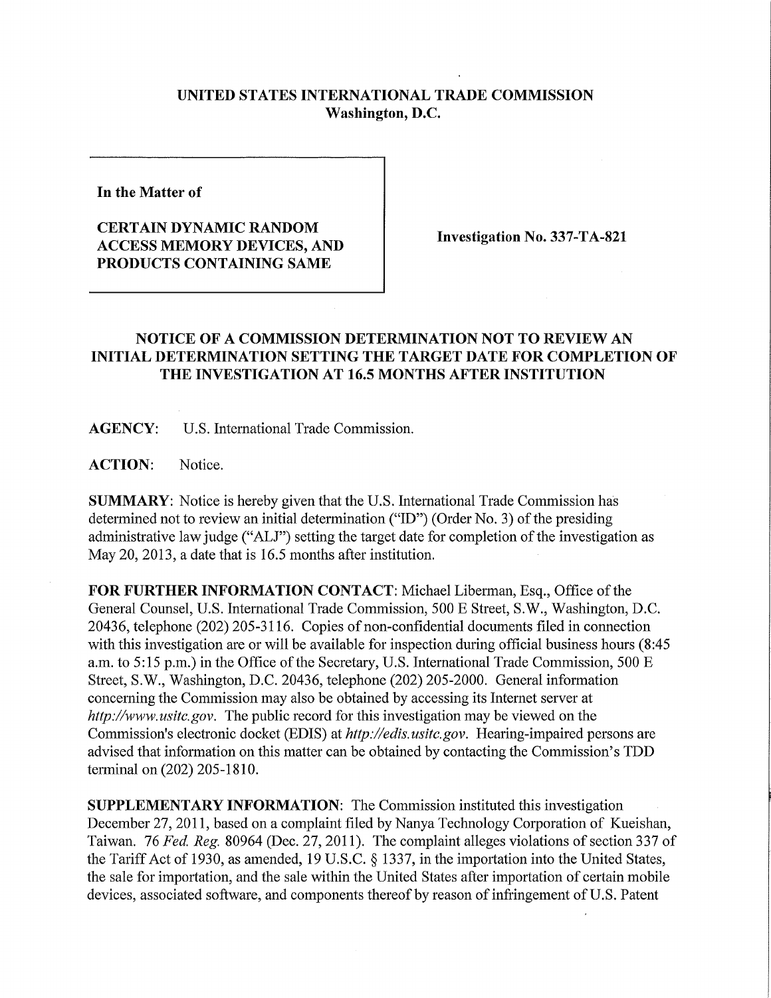## **UNITED STATES INTERNATIONAL TRADE COMMISSION Washington, D.C.**

**In the Matter of** 

## **CERTAIN DYNAMIC RANDOM ACCESS MEMORY DEVICES, AND PRODUCTS CONTAINING SAME**

**Investigation No. 337-TA-821** 

## **NOTICE OF A COMMISSION DETERMINATION NOT TO REVIEW AN INITIAL DETERMINATION SETTING THE TARGET DATE FOR COMPLETION OF THE INVESTIGATION AT 16.5 MONTHS AFTER INSTITUTION**

**AGENCY:** U.S. International Trade Commission.

ACTION: Notice.

**SUMMARY:** Notice is hereby given that the U.S. International Trade Commission has determined not to review an initial determination ("ID") (Order No. 3) of the presiding administrative law judge ("ALJ") setting the target date for completion of the investigation as May 20, 2013, a date that is 16.5 months after institution.

**FOR FURTHER INFORMATION CONTACT:** Michael Liberman, Esq., Office ofthe General Counsel, U.S. International Trade Commission, 500 E Street, S.W., Washington, D.C. 20436, telephone (202) 205-3116. Copies of non-confidential documents filed in connection with this investigation are or will be available for inspection during official business hours (8:45 a.m. to 5:15 p.m.) in the Office of the Secretary, U.S. International Trade Commission, 500 E Street, S.W., Washington, D.C. 20436, telephone (202) 205-2000. General information concerning the Commission may also be obtained by accessing its Internet server at http://www.usitc.gov. The public record for this investigation may be viewed on the Commission's electronic docket (EDIS) at *http://edis.usitc.gov.* Hearing-impaired persons are advised that information on this matter can be obtained by contacting the Commission's TDD terminal on (202) 205-1810.

**SUPPLEMENTARY INFORMATION:** The Commission instituted this investigation December 27, 2011, based on a complaint filed by Nanya Technology Corporation of Kueishan, Taiwan. 76 *Fed, Reg.* 80964 (Dec. 27, 2011). The complaint alleges violations of section 337 of the Tariff Act of 1930, as amended, 19 U.S.C. § 1337, in the importation into the United States, the sale for importation, and the sale within the United States after importation of certain mobile devices, associated software, and components thereof by reason of infringement of U.S. Patent